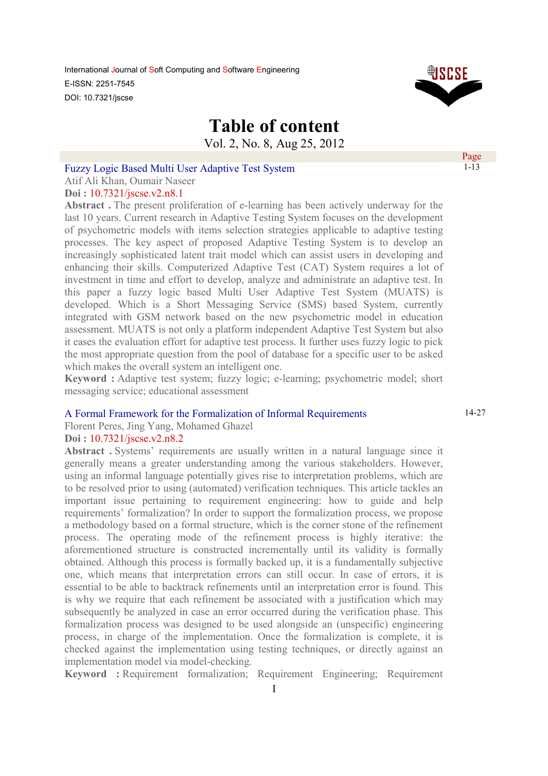

# **Table of content**

Vol. 2, No. 8, Aug 25, 2012

### Fuzzy Logic Based Multi User Adaptive Test System

Atif Ali Khan, Oumair Naseer

### **Doi :** 10.7321/jscse.v2.n8.1

Abstract. The present proliferation of e-learning has been actively underway for the last 10 years. Current research in Adaptive Testing System focuses on the development of psychometric models with items selection strategies applicable to adaptive testing processes. The key aspect of proposed Adaptive Testing System is to develop an increasingly sophisticated latent trait model which can assist users in developing and enhancing their skills. Computerized Adaptive Test (CAT) System requires a lot of investment in time and effort to develop, analyze and administrate an adaptive test. In this paper a fuzzy logic based Multi User Adaptive Test System (MUATS) is developed. Which is a Short Messaging Service (SMS) based System, currently integrated with GSM network based on the new psychometric model in education assessment. MUATS is not only a platform independent Adaptive Test System but also it eases the evaluation effort for adaptive test process. It further uses fuzzy logic to pick the most appropriate question from the pool of database for a specific user to be asked which makes the overall system an intelligent one.

**Keyword :** Adaptive test system; fuzzy logic; e-learning; psychometric model; short messaging service; educational assessment

### A Formal Framework for the Formalization of Informal Requirements

Florent Peres, Jing Yang, Mohamed Ghazel

### **Doi :** 10.7321/jscse.v2.n8.2

**Abstract .** Systems' requirements are usually written in a natural language since it generally means a greater understanding among the various stakeholders. However, using an informal language potentially gives rise to interpretation problems, which are to be resolved prior to using (automated) verification techniques. This article tackles an important issue pertaining to requirement engineering: how to guide and help requirements' formalization? In order to support the formalization process, we propose a methodology based on a formal structure, which is the corner stone of the refinement process. The operating mode of the refinement process is highly iterative: the aforementioned structure is constructed incrementally until its validity is formally obtained. Although this process is formally backed up, it is a fundamentally subjective one, which means that interpretation errors can still occur. In case of errors, it is essential to be able to backtrack refinements until an interpretation error is found. This is why we require that each refinement be associated with a justification which may subsequently be analyzed in case an error occurred during the verification phase. This formalization process was designed to be used alongside an (unspecific) engineering process, in charge of the implementation. Once the formalization is complete, it is checked against the implementation using testing techniques, or directly against an implementation model via model-checking.

**Keyword :** Requirement formalization; Requirement Engineering; Requirement

14-27

Page 1-13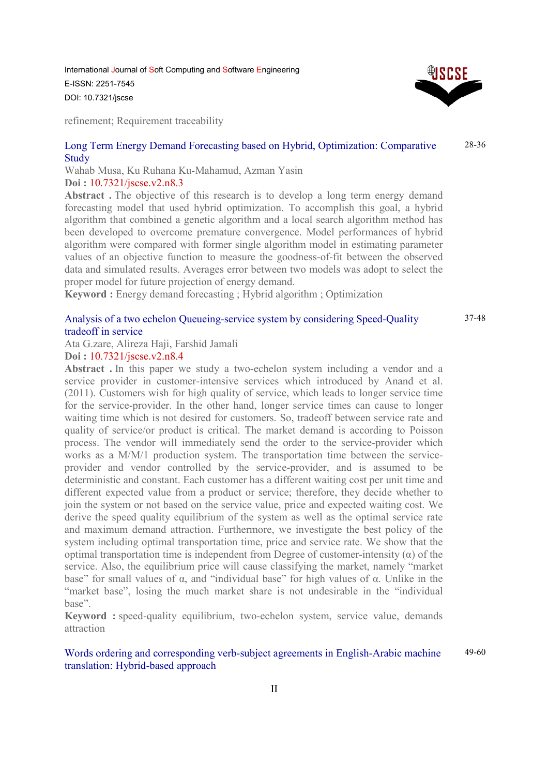refinement; Requirement traceability

#### Long Term Energy Demand Forecasting based on Hybrid, Optimization: Comparative **Study** 28-36

Wahab Musa, Ku Ruhana Ku-Mahamud, Azman Yasin **Doi :** 10.7321/jscse.v2.n8.3

Abstract. The objective of this research is to develop a long term energy demand forecasting model that used hybrid optimization. To accomplish this goal, a hybrid algorithm that combined a genetic algorithm and a local search algorithm method has been developed to overcome premature convergence. Model performances of hybrid algorithm were compared with former single algorithm model in estimating parameter values of an objective function to measure the goodness-of-fit between the observed data and simulated results. Averages error between two models was adopt to select the proper model for future projection of energy demand.

**Keyword :** Energy demand forecasting ; Hybrid algorithm ; Optimization

### Analysis of a two echelon Queueing-service system by considering Speed-Quality tradeoff in service

Ata G.zare, Alireza Haji, Farshid Jamali

### **Doi :** 10.7321/jscse.v2.n8.4

**Abstract .** In this paper we study a two-echelon system including a vendor and a service provider in customer-intensive services which introduced by Anand et al. (2011). Customers wish for high quality of service, which leads to longer service time for the service-provider. In the other hand, longer service times can cause to longer waiting time which is not desired for customers. So, tradeoff between service rate and quality of service/or product is critical. The market demand is according to Poisson process. The vendor will immediately send the order to the service-provider which works as a M/M/1 production system. The transportation time between the serviceprovider and vendor controlled by the service-provider, and is assumed to be deterministic and constant. Each customer has a different waiting cost per unit time and different expected value from a product or service; therefore, they decide whether to join the system or not based on the service value, price and expected waiting cost. We derive the speed quality equilibrium of the system as well as the optimal service rate and maximum demand attraction. Furthermore, we investigate the best policy of the system including optimal transportation time, price and service rate. We show that the optimal transportation time is independent from Degree of customer-intensity  $(\alpha)$  of the service. Also, the equilibrium price will cause classifying the market, namely "market base" for small values of  $\alpha$ , and "individual base" for high values of  $\alpha$ . Unlike in the "market base", losing the much market share is not undesirable in the "individual base".

**Keyword :** speed-quality equilibrium, two-echelon system, service value, demands attraction

#### Words ordering and corresponding verb-subject agreements in English-Arabic machine translation: Hybrid-based approach 49-60



37-48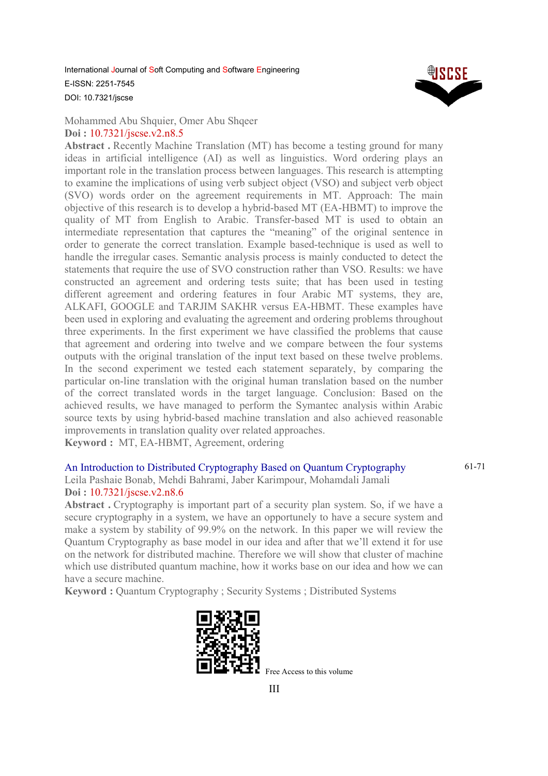

Mohammed Abu Shquier, Omer Abu Shqeer **Doi :** 10.7321/jscse.v2.n8.5

**Abstract .** Recently Machine Translation (MT) has become a testing ground for many ideas in artificial intelligence (AI) as well as linguistics. Word ordering plays an important role in the translation process between languages. This research is attempting to examine the implications of using verb subject object (VSO) and subject verb object (SVO) words order on the agreement requirements in MT. Approach: The main objective of this research is to develop a hybrid-based MT (EA-HBMT) to improve the quality of MT from English to Arabic. Transfer-based MT is used to obtain an intermediate representation that captures the "meaning" of the original sentence in order to generate the correct translation. Example based-technique is used as well to handle the irregular cases. Semantic analysis process is mainly conducted to detect the statements that require the use of SVO construction rather than VSO. Results: we have constructed an agreement and ordering tests suite; that has been used in testing different agreement and ordering features in four Arabic MT systems, they are, ALKAFI, GOOGLE and TARJIM SAKHR versus EA-HBMT. These examples have been used in exploring and evaluating the agreement and ordering problems throughout three experiments. In the first experiment we have classified the problems that cause that agreement and ordering into twelve and we compare between the four systems outputs with the original translation of the input text based on these twelve problems. In the second experiment we tested each statement separately, by comparing the particular on-line translation with the original human translation based on the number of the correct translated words in the target language. Conclusion: Based on the achieved results, we have managed to perform the Symantec analysis within Arabic source texts by using hybrid-based machine translation and also achieved reasonable improvements in translation quality over related approaches.

**Keyword :** MT, EA-HBMT, Agreement, ordering

## An Introduction to Distributed Cryptography Based on Quantum Cryptography

61-71

Leila Pashaie Bonab, Mehdi Bahrami, Jaber Karimpour, Mohamdali Jamali **Doi :** 10.7321/jscse.v2.n8.6

Abstract. Cryptography is important part of a security plan system. So, if we have a secure cryptography in a system, we have an opportunely to have a secure system and make a system by stability of 99.9% on the network. In this paper we will review the Quantum Cryptography as base model in our idea and after that we'll extend it for use on the network for distributed machine. Therefore we will show that cluster of machine which use distributed quantum machine, how it works base on our idea and how we can have a secure machine.

**Keyword :** Ouantum Cryptography ; Security Systems ; Distributed Systems



Free Access to this volume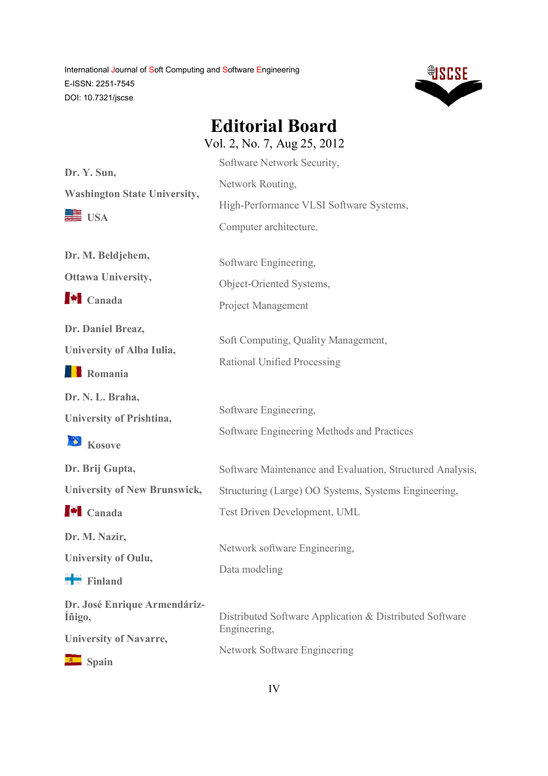

**Editorial Board** Vol. 2, No. 7, Aug 25, 2012

|                                        | V UI. 2, INU. <i>1</i> , Aug 29, 2012                     |
|----------------------------------------|-----------------------------------------------------------|
| Dr. Y. Sun,                            | Software Network Security,                                |
| <b>Washington State University,</b>    | Network Routing,                                          |
| USA                                    | High-Performance VLSI Software Systems,                   |
|                                        | Computer architecture.                                    |
| Dr. M. Beldjehem,                      | Software Engineering,                                     |
| <b>Ottawa University,</b>              | Object-Oriented Systems,                                  |
| $\blacktriangleright$ Canada           | <b>Project Management</b>                                 |
| Dr. Daniel Breaz,                      | Soft Computing, Quality Management,                       |
| University of Alba Iulia,              | Rational Unified Processing                               |
| <b>TE</b> Romania                      |                                                           |
| Dr. N. L. Braha,                       |                                                           |
| <b>University of Prishtina,</b>        | Software Engineering,                                     |
| Kosove                                 | Software Engineering Methods and Practices                |
| Dr. Brij Gupta,                        | Software Maintenance and Evaluation, Structured Analysis, |
| <b>University of New Brunswick,</b>    | Structuring (Large) OO Systems, Systems Engineering,      |
| $\blacktriangleright$ Canada           | Test Driven Development, UML                              |
| Dr. M. Nazir,                          | Network software Engineering,                             |
| <b>University of Oulu,</b>             |                                                           |
| $\blacksquare$ Finland                 | Data modeling                                             |
| Dr. José Enrique Armendáriz-<br>Iñigo, | Distributed Software Application & Distributed Software   |
| <b>University of Navarre,</b>          | Engineering,                                              |
| Spain                                  | Network Software Engineering                              |
|                                        |                                                           |